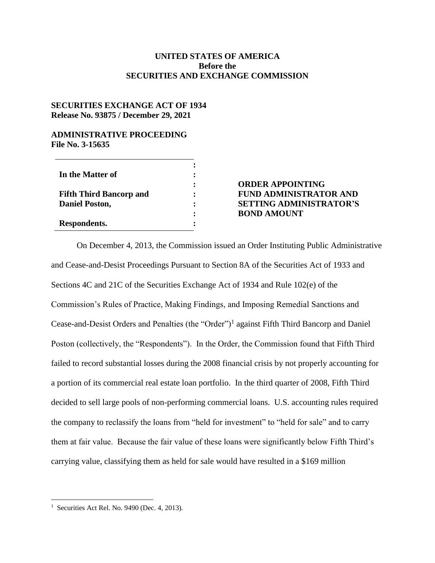## **UNITED STATES OF AMERICA Before the SECURITIES AND EXCHANGE COMMISSION**

## **SECURITIES EXCHANGE ACT OF 1934 Release No. 93875 / December 29, 2021**

## **ADMINISTRATIVE PROCEEDING File No. 3-15635**

| In the Matter of                                        |  |
|---------------------------------------------------------|--|
| <b>Fifth Third Bancorp and</b><br><b>Daniel Poston,</b> |  |
| Respondents.                                            |  |

## **ORDER APPOINTING FUND ADMINISTRATOR AND SETTING ADMINISTRATOR'S BOND AMOUNT**

On December 4, 2013, the Commission issued an Order Instituting Public Administrative and Cease-and-Desist Proceedings Pursuant to Section 8A of the Securities Act of 1933 and Sections 4C and 21C of the Securities Exchange Act of 1934 and Rule 102(e) of the Commission's Rules of Practice, Making Findings, and Imposing Remedial Sanctions and Cease-and-Desist Orders and Penalties (the "Order")<sup>1</sup> against Fifth Third Bancorp and Daniel Poston (collectively, the "Respondents"). In the Order, the Commission found that Fifth Third failed to record substantial losses during the 2008 financial crisis by not properly accounting for a portion of its commercial real estate loan portfolio. In the third quarter of 2008, Fifth Third decided to sell large pools of non-performing commercial loans. U.S. accounting rules required the company to reclassify the loans from "held for investment" to "held for sale" and to carry them at fair value. Because the fair value of these loans were significantly below Fifth Third's carrying value, classifying them as held for sale would have resulted in a \$169 million

 $\overline{a}$ 

<sup>1</sup> Securities Act Rel. No. 9490 (Dec. 4, 2013).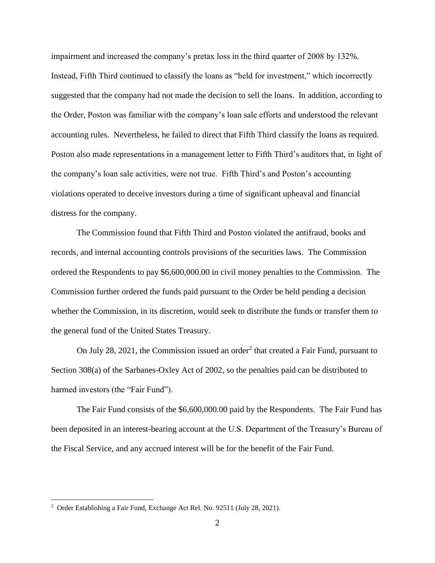impairment and increased the company's pretax loss in the third quarter of 2008 by 132%. Instead, Fifth Third continued to classify the loans as "held for investment," which incorrectly suggested that the company had not made the decision to sell the loans. In addition, according to the Order, Poston was familiar with the company's loan sale efforts and understood the relevant accounting rules. Nevertheless, he failed to direct that Fifth Third classify the loans as required. Poston also made representations in a management letter to Fifth Third's auditors that, in light of the company's loan sale activities, were not true. Fifth Third's and Poston's accounting violations operated to deceive investors during a time of significant upheaval and financial distress for the company.

The Commission found that Fifth Third and Poston violated the antifraud, books and records, and internal accounting controls provisions of the securities laws. The Commission ordered the Respondents to pay \$6,600,000.00 in civil money penalties to the Commission. The Commission further ordered the funds paid pursuant to the Order be held pending a decision whether the Commission, in its discretion, would seek to distribute the funds or transfer them to the general fund of the United States Treasury.

On July 28, 2021, the Commission issued an order<sup>2</sup> that created a Fair Fund, pursuant to Section 308(a) of the Sarbanes-Oxley Act of 2002, so the penalties paid can be distributed to harmed investors (the "Fair Fund").

The Fair Fund consists of the \$6,600,000.00 paid by the Respondents. The Fair Fund has been deposited in an interest-bearing account at the U.S. Department of the Treasury's Bureau of the Fiscal Service, and any accrued interest will be for the benefit of the Fair Fund.

 $\overline{a}$ 

<sup>&</sup>lt;sup>2</sup> Order Establishing a Fair Fund, Exchange Act Rel. No. 92511 (July 28, 2021).